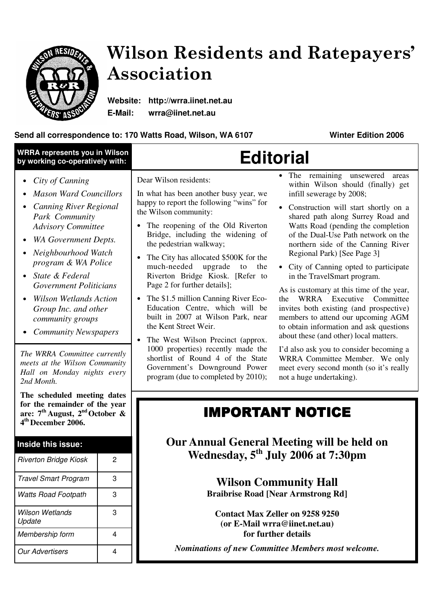

# Wilson Residents and Ratepayers' Association

**Website: http://wrra.iinet.net.au E-Mail: wrra@iinet.net.au**

#### **Send all correspondence to: 170 Watts Road, Wilson, WA 6107 Winter Edition 2006**

| • The remaining unsewered areas<br>Dear Wilson residents:<br>City of Canning<br>within Wilson should (finally) get<br><b>Mason Ward Councillors</b><br>In what has been another busy year, we<br>infill sewerage by 2008;<br>happy to report the following "wins" for<br><b>Canning River Regional</b><br>Construction will start shortly on a<br>the Wilson community:<br>Park Community<br>shared path along Surrey Road and<br>Watts Road (pending the completion<br>The reopening of the Old Riverton<br><b>Advisory Committee</b><br>Bridge, including the widening of<br>of the Dual-Use Path network on the<br>WA Government Depts.<br>the pedestrian walkway;<br>northern side of the Canning River<br>Neighbourhood Watch<br>Regional Park) [See Page 3]<br>The City has allocated \$500K for the<br>$\bullet$<br>program & WA Police<br>much-needed<br>upgrade<br>to<br>the<br>• City of Canning opted to participate<br>State & Federal<br>Riverton Bridge Kiosk. [Refer to<br>in the TravelSmart program.<br>Page 2 for further details];<br><b>Government Politicians</b><br>As is customary at this time of the year,<br><b>Wilson Wetlands Action</b><br>The \$1.5 million Canning River Eco-<br>WRRA Executive Committee<br>$\bullet$<br>the<br>Education Centre, which will be<br>invites both existing (and prospective)<br>Group Inc. and other<br>built in 2007 at Wilson Park, near<br>members to attend our upcoming AGM<br>community groups<br>the Kent Street Weir.<br>to obtain information and ask questions<br><b>Community Newspapers</b><br>about these (and other) local matters.<br>The West Wilson Precinct (approx.<br>1000 properties) recently made the<br>I'd also ask you to consider becoming a<br>The WRRA Committee currently<br>shortlist of Round 4 of the State<br>WRRA Committee Member. We only<br>meets at the Wilson Community<br>Government's Downground Power<br>meet every second month (so it's really<br>Hall on Monday nights every<br>program (due to completed by 2010);<br>not a huge undertaking).<br>2nd Month.<br>The scheduled meeting dates<br>for the remainder of the year<br><b>IMPORTANT NOTICE</b><br>are: $7th$ August, $2nd$ October &<br>4 <sup>th</sup> December 2006.<br><b>Our Annual General Meeting will be held on</b><br>Inside this issue:<br>Wednesday, 5 <sup>th</sup> July 2006 at 7:30pm<br><b>Riverton Bridge Kiosk</b><br>2<br>3<br><b>Travel Smart Program</b><br><b>Wilson Community Hall</b><br><b>Braibrise Road [Near Armstrong Rd]</b><br><b>Watts Road Footpath</b><br>3<br><b>Wilson Wetlands</b><br>3<br><b>Contact Max Zeller on 9258 9250</b><br>Update<br>(or E-Mail wrra@iinet.net.au)<br>for further details<br>Membership form<br>4<br><b>Nominations of new Committee Members most welcome.</b><br><b>Our Advertisers</b><br>4 | <b>WRRA represents you in Wilson</b><br>by working co-operatively with: | <b>Editorial</b> |  |
|-----------------------------------------------------------------------------------------------------------------------------------------------------------------------------------------------------------------------------------------------------------------------------------------------------------------------------------------------------------------------------------------------------------------------------------------------------------------------------------------------------------------------------------------------------------------------------------------------------------------------------------------------------------------------------------------------------------------------------------------------------------------------------------------------------------------------------------------------------------------------------------------------------------------------------------------------------------------------------------------------------------------------------------------------------------------------------------------------------------------------------------------------------------------------------------------------------------------------------------------------------------------------------------------------------------------------------------------------------------------------------------------------------------------------------------------------------------------------------------------------------------------------------------------------------------------------------------------------------------------------------------------------------------------------------------------------------------------------------------------------------------------------------------------------------------------------------------------------------------------------------------------------------------------------------------------------------------------------------------------------------------------------------------------------------------------------------------------------------------------------------------------------------------------------------------------------------------------------------------------------------------------------------------------------------------------------------------------------------------------------------------------------------------------------------------------------------------------------------------------------------------------------------------------------------------------------------------------------------------------------------------------------------------------------------------------------------------------------------------------------------------------------------------------------------------------------------------|-------------------------------------------------------------------------|------------------|--|
|                                                                                                                                                                                                                                                                                                                                                                                                                                                                                                                                                                                                                                                                                                                                                                                                                                                                                                                                                                                                                                                                                                                                                                                                                                                                                                                                                                                                                                                                                                                                                                                                                                                                                                                                                                                                                                                                                                                                                                                                                                                                                                                                                                                                                                                                                                                                                                                                                                                                                                                                                                                                                                                                                                                                                                                                                                   |                                                                         |                  |  |
|                                                                                                                                                                                                                                                                                                                                                                                                                                                                                                                                                                                                                                                                                                                                                                                                                                                                                                                                                                                                                                                                                                                                                                                                                                                                                                                                                                                                                                                                                                                                                                                                                                                                                                                                                                                                                                                                                                                                                                                                                                                                                                                                                                                                                                                                                                                                                                                                                                                                                                                                                                                                                                                                                                                                                                                                                                   |                                                                         |                  |  |
|                                                                                                                                                                                                                                                                                                                                                                                                                                                                                                                                                                                                                                                                                                                                                                                                                                                                                                                                                                                                                                                                                                                                                                                                                                                                                                                                                                                                                                                                                                                                                                                                                                                                                                                                                                                                                                                                                                                                                                                                                                                                                                                                                                                                                                                                                                                                                                                                                                                                                                                                                                                                                                                                                                                                                                                                                                   |                                                                         |                  |  |
|                                                                                                                                                                                                                                                                                                                                                                                                                                                                                                                                                                                                                                                                                                                                                                                                                                                                                                                                                                                                                                                                                                                                                                                                                                                                                                                                                                                                                                                                                                                                                                                                                                                                                                                                                                                                                                                                                                                                                                                                                                                                                                                                                                                                                                                                                                                                                                                                                                                                                                                                                                                                                                                                                                                                                                                                                                   |                                                                         |                  |  |
|                                                                                                                                                                                                                                                                                                                                                                                                                                                                                                                                                                                                                                                                                                                                                                                                                                                                                                                                                                                                                                                                                                                                                                                                                                                                                                                                                                                                                                                                                                                                                                                                                                                                                                                                                                                                                                                                                                                                                                                                                                                                                                                                                                                                                                                                                                                                                                                                                                                                                                                                                                                                                                                                                                                                                                                                                                   |                                                                         |                  |  |
|                                                                                                                                                                                                                                                                                                                                                                                                                                                                                                                                                                                                                                                                                                                                                                                                                                                                                                                                                                                                                                                                                                                                                                                                                                                                                                                                                                                                                                                                                                                                                                                                                                                                                                                                                                                                                                                                                                                                                                                                                                                                                                                                                                                                                                                                                                                                                                                                                                                                                                                                                                                                                                                                                                                                                                                                                                   |                                                                         |                  |  |
|                                                                                                                                                                                                                                                                                                                                                                                                                                                                                                                                                                                                                                                                                                                                                                                                                                                                                                                                                                                                                                                                                                                                                                                                                                                                                                                                                                                                                                                                                                                                                                                                                                                                                                                                                                                                                                                                                                                                                                                                                                                                                                                                                                                                                                                                                                                                                                                                                                                                                                                                                                                                                                                                                                                                                                                                                                   |                                                                         |                  |  |
|                                                                                                                                                                                                                                                                                                                                                                                                                                                                                                                                                                                                                                                                                                                                                                                                                                                                                                                                                                                                                                                                                                                                                                                                                                                                                                                                                                                                                                                                                                                                                                                                                                                                                                                                                                                                                                                                                                                                                                                                                                                                                                                                                                                                                                                                                                                                                                                                                                                                                                                                                                                                                                                                                                                                                                                                                                   |                                                                         |                  |  |
|                                                                                                                                                                                                                                                                                                                                                                                                                                                                                                                                                                                                                                                                                                                                                                                                                                                                                                                                                                                                                                                                                                                                                                                                                                                                                                                                                                                                                                                                                                                                                                                                                                                                                                                                                                                                                                                                                                                                                                                                                                                                                                                                                                                                                                                                                                                                                                                                                                                                                                                                                                                                                                                                                                                                                                                                                                   |                                                                         |                  |  |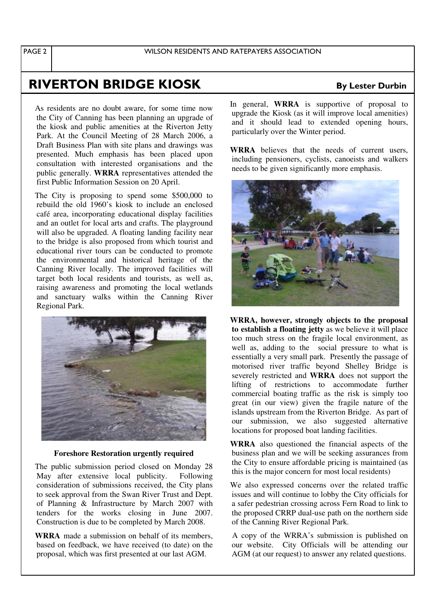## RIVERTON BRIDGE KI

As residents are no doubt aware, for some time now the City of Canning has been planning an upgrade of the kiosk and public amenities at the Riverton Jetty Park. At the Council Meeting of 28 March 2006, a Draft Business Plan with site plans and drawings was presented. Much emphasis has been placed upon consultation with interested organisations and the public generally. **WRRA** representatives attended the first Public Information Session on 20 April.

The City is proposing to spend some \$500,000 to rebuild the old 1960's kiosk to include an enclosed café area, incorporating educational display facilities and an outlet for local arts and crafts. The playground will also be upgraded. A floating landing facility near to the bridge is also proposed from which tourist and educational river tours can be conducted to promote the environmental and historical heritage of the Canning River locally. The improved facilities will target both local residents and tourists, as well as, raising awareness and promoting the local wetlands and sanctuary walks within the Canning River Regional Park.



#### **Foreshore Restoration urgently required**

The public submission period closed on Monday 28 May after extensive local publicity. Following consideration of submissions received, the City plans to seek approval from the Swan River Trust and Dept. of Planning & Infrastructure by March 2007 with tenders for the works closing in June 2007. Construction is due to be completed by March 2008.

**WRRA** made a submission on behalf of its members, based on feedback, we have received (to date) on the proposal, which was first presented at our last AGM.

In general, **WRRA** is supportive of proposal to upgrade the Kiosk (as it will improve local amenities) and it should lead to extended opening hours, particularly over the Winter period.

**WRRA** believes that the needs of current users including pensioners, cyclists, canoeists and walkers needs to be given significantly more emphasis.



**WRRA, however, strongly objects to the proposal to establish a floating jetty** as we believe it will place too much stress on the fragile local environment, as well as, adding to the social pressure to what is essentially a very small park. Presently the passage of motorised river traffic beyond Shelley Bridge is severely restricted and **WRRA** does not support the lifting of restrictions to accommodate further commercial boating traffic as the risk is simply too great (in our view) given the fragile nature of the islands upstream from the Riverton Bridge. As part of our submission, we also suggested alternative locations for proposed boat landing facilities.

**WRRA** also questioned the financial aspects of the business plan and we will be seeking assurances from the City to ensure affordable pricing is maintained (as this is the major concern for most local residents)

We also expressed concerns over the related traffic issues and will continue to lobby the City officials for a safer pedestrian crossing across Fern Road to link to the proposed CRRP dual-use path on the northern side of the Canning River Regional Park.

A copy of the WRRA's submission is published on our website. City Officials will be attending our AGM (at our request) to answer any related questions.

### **OSK** By Lester Durbin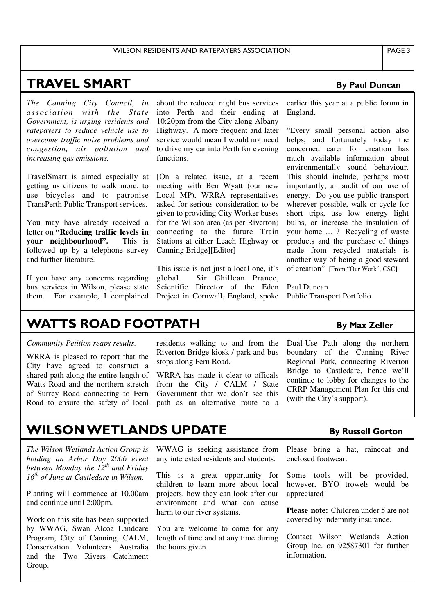#### **TRAVEL SMAR**  $\mathbf T$  By

*The Canning City Council, in association with the Stat e Government, is urging residents and ratepayers to reduce vehicle use to overcome traffic noise problems and congestion, air pollution and increasing gas emissions.*

TravelSmart is aimed especially at getting us citizens to walk more, to use bicycles and to patronise TransPerth Public Transport services.

You may have already received a letter on **"Reducing traffic levels in your neighbourhood".** This is followed up by a telephone survey and further literature.

If you have any concerns regarding bus services in Wilson, please state them. For example, I complained

about the reduced night bus services into Perth and their ending at 10:20pm from the City along Albany Highway. A more frequent and later service would mean I would not need to drive my car into Perth for evening functions.

[On a related issue, at a recent meeting with Ben Wyatt (our new Local MP), WRRA representatives asked for serious consideration to be given to providing City Worker buses for the Wilson area (as per Riverton) connecting to the future Train Stations at either Leach Highway or Canning Bridge][Editor]

This issue is not just a local one, it's global. Sir Ghillean Prance, Scientific Director of the Eden Project in Cornwall, England, spoke

earlier this year at a public forum in England.

**By Paul Duncan** 

"Every small personal action also helps, and fortunately today the concerned carer for creation has much available information about environmentally sound behaviour. This should include, perhaps most importantly, an audit of our use of energy. Do you use public transport wherever possible, walk or cycle for short trips, use low energy light bulbs, or increase the insulation of your home … ? Recycling of waste products and the purchase of things made from recycled materials is another way of being a good steward of creation" [From "Our Work", CSC]

Paul Duncan Public Transport Portfolio

### **WATTS ROAD FOOTPATH**  $_{\text{B}_{\text{y}}}$

#### *Community Petition reaps results.*

WRRA is pleased to report that the City have agreed to construct a shared path along the entire length of Watts Road and the northern stretch of Surrey Road connecting to Fern Road to ensure the safety of local residents walking to and from the Riverton Bridge kiosk / park and bus stops along Fern Road.

WRRA has made it clear to officals from the City / CALM / State Government that we don't see this path as an alternative route to a Dual-Use Path along the northern boundary of the Canning River Regional Park, connecting Riverton Bridge to Castledare, hence we'll continue to lobby for changes to the CRRP Management Plan for this end (with the City's support).

## **WILSON WETLANDS UPDATE**

*The Wilson Wetlands Action Group is holding an Arbor Day 2006 event between Monday the 12 th and Friday 16 th of June at Castledare in Wilson.*

Planting will commence at 10.00am and continue until 2:00pm.

Work on this site has been supported by WWAG, Swan Alcoa Landcare Program, City of Canning, CALM, Conservation Volunteers Australia and the Two Rivers Catchment Group.

WWAG is seeking assistance from any interested residents and students.

This is a great opportunity for children to learn more about local projects, how they can look after our environment and what can cause harm to our river systems.

You are welcome to come for any length of time and at any time during the hours given.

#### y Russell Gorton

**By Max Zeller** 

Please bring a hat, raincoat and enclosed footwear.

Some tools will be provided, however, BYO trowels would be appreciated!

**Please note:** Children under 5 are not covered by indemnity insurance.

Contact Wilson Wetlands Action Group Inc. on 92587301 for further information.

#### PAGE 3